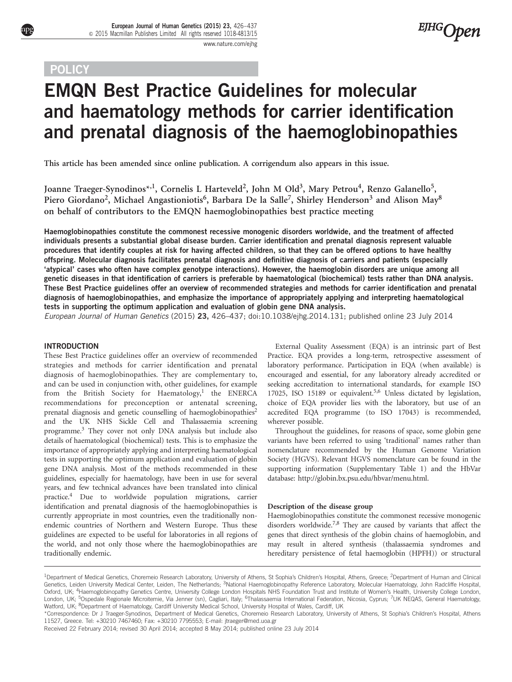## **POLICY**

**EJHG**Open

# EMQN Best Practice Guidelines for molecular and haematology methods for carrier identification and prenatal diagnosis of the haemoglobinopathies

This article has been amended since online publication. A corrigendum also appears in this issue.

Joanne Traeger-Synodinos\*<sup>,1</sup>, Cornelis L Harteveld<sup>2</sup>, John M Old<sup>3</sup>, Mary Petrou<sup>4</sup>, Renzo Galanello<sup>5</sup>, Piero Giordano<sup>2</sup>, Michael Angastioniotis<sup>6</sup>, Barbara De la Salle<sup>7</sup>, Shirley Henderson<sup>3</sup> and Alison May<sup>8</sup> on behalf of contributors to the EMQN haemoglobinopathies best practice meeting

Haemoglobinopathies constitute the commonest recessive monogenic disorders worldwide, and the treatment of affected individuals presents a substantial global disease burden. Carrier identification and prenatal diagnosis represent valuable procedures that identify couples at risk for having affected children, so that they can be offered options to have healthy offspring. Molecular diagnosis facilitates prenatal diagnosis and definitive diagnosis of carriers and patients (especially 'atypical' cases who often have complex genotype interactions). However, the haemoglobin disorders are unique among all genetic diseases in that identification of carriers is preferable by haematological (biochemical) tests rather than DNA analysis. These Best Practice guidelines offer an overview of recommended strategies and methods for carrier identification and prenatal diagnosis of haemoglobinopathies, and emphasize the importance of appropriately applying and interpreting haematological tests in supporting the optimum application and evaluation of globin gene DNA analysis.

European Journal of Human Genetics (2015) 23, 426–437; doi[:10.1038/ejhg.2014.131](http://dx.doi.org/10.1038/ejhg.2014.131); published online 23 July 2014

#### INTRODUCTION

These Best Practice guidelines offer an overview of recommended strategies and methods for carrier identification and prenatal diagnosis of haemoglobinopathies. They are complementary to, and can be used in conjunction with, other guidelines, for example from the British Society for Haematology,<sup>[1](#page-10-0)</sup> the ENERCA recommendations for preconception or antenatal screening, prenatal diagnosis and genetic counselling of haemoglobinopathies<sup>2</sup> and the UK NHS Sickle Cell and Thalassaemia screening programme[.3](#page-10-0) They cover not only DNA analysis but include also details of haematological (biochemical) tests. This is to emphasize the importance of appropriately applying and interpreting haematological tests in supporting the optimum application and evaluation of globin gene DNA analysis. Most of the methods recommended in these guidelines, especially for haematology, have been in use for several years, and few technical advances have been translated into clinical practice[.4](#page-10-0) Due to worldwide population migrations, carrier identification and prenatal diagnosis of the haemoglobinopathies is currently appropriate in most countries, even the traditionally nonendemic countries of Northern and Western Europe. Thus these guidelines are expected to be useful for laboratories in all regions of the world, and not only those where the haemoglobinopathies are traditionally endemic.

External Quality Assessment (EQA) is an intrinsic part of Best Practice. EQA provides a long-term, retrospective assessment of laboratory performance. Participation in EQA (when available) is encouraged and essential, for any laboratory already accredited or seeking accreditation to international standards, for example ISO 17025, ISO 15189 or equivalent.<sup>[5,6](#page-10-0)</sup> Unless dictated by legislation, choice of EQA provider lies with the laboratory, but use of an accredited EQA programme (to ISO 17043) is recommended, wherever possible.

Throughout the guidelines, for reasons of space, some globin gene variants have been referred to using 'traditional' names rather than nomenclature recommended by the Human Genome Variation Society (HGVS). Relevant HGVS nomenclature can be found in the supporting information (Supplementary Table 1) and the HbVar database:<http://globin.bx.psu.edu/hbvar/menu.html>.

#### Description of the disease group

Haemoglobinopathies constitute the commonest recessive monogenic disorders worldwide[.7,8](#page-10-0) They are caused by variants that affect the genes that direct synthesis of the globin chains of haemoglobin, and may result in altered synthesis (thalassaemia syndromes and hereditary persistence of fetal haemoglobin (HPFH)) or structural

\*Correspondence: Dr J Traeger-Synodinos, Department of Medical Genetics, Choremeio Research Laboratory, University of Athens, St Sophia's Children's Hospital, Athens 11527, Greece. Tel: +30210 7467460; Fax: +30210 7795553; E-mail: [jtraeger@med.uoa.gr](mailto:jtraeger@med.uoa.gr)

<sup>&</sup>lt;sup>1</sup>Department of Medical Genetics, Choremeio Research Laboratory, University of Athens, St Sophia's Children's Hospital, Athens, Greece; <sup>2</sup>Department of Human and Clinical Genetics, Leiden University Medical Center, Leiden, The Netherlands; <sup>3</sup>National Haemoglobinopathy Reference Laboratory, Molecular Haematology, John Radcliffe Hospital, Oxford, UK; 4Haemoglobinopathy Genetics Centre, University College London Hospitals NHS Foundation Trust and Institute of Women's Health, University College London, London, UK; <sup>5</sup>Ospedale Regionale Microitemie, Via Jenner (sn), Cagliari, Italy; <sup>6</sup>Thalassaemia International Federation, Nicosia, Cyprus; 7UK NEQAS, General Haematology, Watford, UK; <sup>8</sup>Department of Haematology, Cardiff University Medical School, University Hospital of Wales, Cardiff, UK

Received 22 February 2014; revised 30 April 2014; accepted 8 May 2014; published online 23 July 2014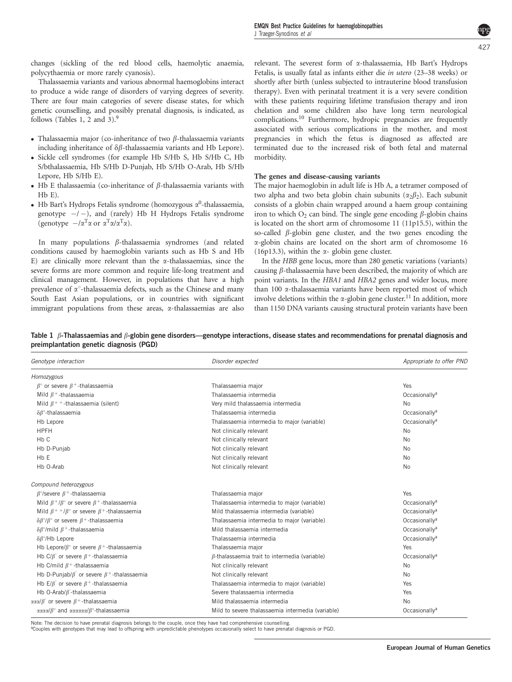<span id="page-1-0"></span>changes (sickling of the red blood cells, haemolytic anaemia, polycythaemia or more rarely cyanosis).

Thalassaemia variants and various abnormal haemoglobins interact to produce a wide range of disorders of varying degrees of severity. There are four main categories of severe disease states, for which genetic counselling, and possibly prenatal diagnosis, is indicated, as follows (Tables 1, 2 and 3)[.9](#page-10-0)

- Thalassaemia major (co-inheritance of two  $\beta$ -thalassaemia variants including inheritance of  $\delta\beta$ -thalassaemia variants and Hb Lepore).
- Sickle cell syndromes (for example Hb S/Hb S, Hb S/Hb C, Hb S/bthalassaemia, Hb S/Hb D-Punjab, Hb S/Hb O-Arab, Hb S/Hb Lepore, Hb S/Hb E).
- Hb E thalassaemia (co-inheritance of  $\beta$ -thalassaemia variants with Hb E).
- Hb Bart's Hydrops Fetalis syndrome (homozygous  $\alpha^0$ -thalassaemia, genotype  $-/-$ ), and (rarely) Hb H Hydrops Fetalis syndrome (genotype  $-/\alpha^T \alpha$  or  $\alpha^T \alpha / \alpha^T \alpha$ ).

In many populations  $\beta$ -thalassaemia syndromes (and related conditions caused by haemoglobin variants such as Hb S and Hb E) are clinically more relevant than the  $\alpha$ -thalassaemias, since the severe forms are more common and require life-long treatment and clinical management. However, in populations that have a high prevalence of  $\alpha$ <sup>o</sup>-thalassaemia defects, such as the Chinese and many South East Asian populations, or in countries with significant immigrant populations from these areas, a-thalassaemias are also

relevant. The severest form of a-thalassaemia, Hb Bart's Hydrops Fetalis, is usually fatal as infants either die in utero (23–38 weeks) or shortly after birth (unless subjected to intrauterine blood transfusion therapy). Even with perinatal treatment it is a very severe condition with these patients requiring lifetime transfusion therapy and iron chelation and some children also have long term neurological complications[.10](#page-10-0) Furthermore, hydropic pregnancies are frequently associated with serious complications in the mother, and most pregnancies in which the fetus is diagnosed as affected are terminated due to the increased risk of both fetal and maternal morbidity.

#### The genes and disease-causing variants

The major haemoglobin in adult life is Hb A, a tetramer composed of two alpha and two beta globin chain subunits  $(\alpha_2 \beta_2)$ . Each subunit consists of a globin chain wrapped around a haem group containing iron to which  $O_2$  can bind. The single gene encoding  $\beta$ -globin chains is located on the short arm of chromosome 11 (11p15.5), within the so-called  $\beta$ -globin gene cluster, and the two genes encoding the a-globin chains are located on the short arm of chromosome 16 (16p13.3), within the  $\alpha$ - globin gene cluster.

In the HBB gene locus, more than 280 genetic variations (variants) causing  $\beta$ -thalassaemia have been described, the majority of which are point variants. In the HBA1 and HBA2 genes and wider locus, more than 100 a-thalassaemia variants have been reported most of which involve deletions within the  $\alpha$ -globin gene cluster.<sup>11</sup> In addition, more than 1150 DNA variants causing structural protein variants have been

Table 1  $\beta$ -Thalassaemias and  $\beta$ -globin gene disorders—genotype interactions, disease states and recommendations for prenatal diagnosis and preimplantation genetic diagnosis (PGD)

| Genotype interaction                                                                | Disorder expected                                    | Appropriate to offer PND  |  |
|-------------------------------------------------------------------------------------|------------------------------------------------------|---------------------------|--|
| Homozygous                                                                          |                                                      |                           |  |
| $\beta^{\circ}$ or severe $\beta^{+}$ -thalassaemia                                 | Thalassaemia major                                   | Yes                       |  |
| Mild $\beta$ <sup>+</sup> -thalassaemia                                             | Thalassaemia intermedia                              | Occasionally <sup>a</sup> |  |
| Mild $\beta$ <sup>++</sup> -thalassaemia (silent)                                   | Very mild thalassaemia intermedia                    | No                        |  |
| $\delta\beta$ °-thalassaemia                                                        | Thalassaemia intermedia                              | Occasionally <sup>a</sup> |  |
| Hb Lepore                                                                           | Thalassaemia intermedia to major (variable)          | Occasionally <sup>a</sup> |  |
| <b>HPFH</b>                                                                         | Not clinically relevant                              | <b>No</b>                 |  |
| H <sub>b</sub> C                                                                    | Not clinically relevant                              | No                        |  |
| Hb D-Punjab                                                                         | Not clinically relevant                              | <b>No</b>                 |  |
| H <sub>b</sub> E                                                                    | Not clinically relevant                              | No                        |  |
| Hb O-Arab                                                                           | Not clinically relevant                              | No                        |  |
| Compound heterozygous                                                               |                                                      |                           |  |
| $\beta^{\circ}/$ severe $\beta^+$ -thalassaemia                                     | Thalassaemia major                                   | <b>Yes</b>                |  |
| Mild $\beta^+/\beta$ ° or severe $\beta^+$ -thalassaemia                            | Thalassaemia intermedia to major (variable)          | Occasionally <sup>a</sup> |  |
| Mild $\beta$ <sup>++</sup> / $\beta$ ° or severe $\beta$ <sup>+</sup> -thalassaemia | Mild thalassaemia intermedia (variable)              | Occasionally <sup>a</sup> |  |
| $\delta\beta^{\circ}/\beta^{\circ}$ or severe $\beta^+$ -thalassaemia               | Thalassaemia intermedia to major (variable)          | Occasionally <sup>a</sup> |  |
| $\delta\beta^{\circ}/$ mild $\beta^+$ -thalassaemia                                 | Mild thalassaemia intermedia                         | Occasionally <sup>a</sup> |  |
| $\delta\beta^{\circ}/Hb$ Lepore                                                     | Thalassaemia intermedia                              | Occasionally <sup>a</sup> |  |
| Hb Lepore/ $\beta^{\circ}$ or severe $\beta^{+}$ -thalassaemia                      | Thalassaemia major                                   | Yes                       |  |
| Hb C/ $\beta$ ° or severe $\beta$ <sup>+</sup> -thalassaemia                        | $\beta$ -thalassaemia trait to intermedia (variable) | Occasionally <sup>a</sup> |  |
| Hb C/mild $\beta$ <sup>+</sup> -thalassaemia                                        | Not clinically relevant                              | No                        |  |
| Hb D-Punjab/ $\beta$ ° or severe $\beta$ <sup>+</sup> -thalassaemia                 | Not clinically relevant                              | <b>No</b>                 |  |
| Hb E/ $\beta$ ° or severe $\beta$ <sup>+</sup> -thalassaemia                        | Thalassaemia intermedia to major (variable)          | Yes                       |  |
| Hb O-Arab/ $\beta$ -thalassaemia                                                    | Severe thalassaemia intermedia                       | Yes                       |  |
| ααα/β or severe $\beta$ <sup>+</sup> -thalassaemia                                  | Mild thalassaemia intermedia                         | No                        |  |
| αααα/β° and αααααα/β°-thalassaemia                                                  | Mild to severe thalassaemia intermedia (variable)    | Occasionally <sup>a</sup> |  |

Note: The decision to have prenatal diagnosis belongs to the couple, once they have had comprehensive counselling. aCouples with genotypes that may lead to offspring with unpredictable phenotypes occasionally select to have prenatal diagnosis or PGD.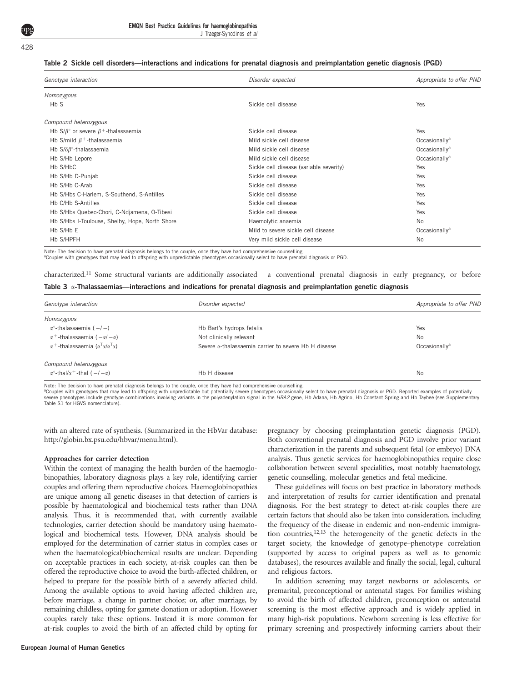J Traeger-Synodinos et al

#### Table 2 Sickle cell disorders—interactions and indications for prenatal diagnosis and preimplantation genetic diagnosis (PGD)

| Genotype interaction                                         | Disorder expected                       | Appropriate to offer PND  |
|--------------------------------------------------------------|-----------------------------------------|---------------------------|
| Homozygous                                                   |                                         |                           |
| Hb S                                                         | Sickle cell disease                     | Yes                       |
| Compound heterozygous                                        |                                         |                           |
| Hb S/ $\beta$ ° or severe $\beta$ <sup>+</sup> -thalassaemia | Sickle cell disease                     | Yes                       |
| Hb S/mild $\beta$ <sup>+</sup> -thalassaemia                 | Mild sickle cell disease                | Occasionally <sup>a</sup> |
| Hb $S/\delta\beta^{\circ}$ -thalassaemia                     | Mild sickle cell disease                | Occasionally <sup>a</sup> |
| Hb S/Hb Lepore                                               | Mild sickle cell disease                | Occasionally <sup>a</sup> |
| Hb S/HbC                                                     | Sickle cell disease (variable severity) | Yes                       |
| Hb S/Hb D-Punjab                                             | Sickle cell disease                     | <b>Yes</b>                |
| Hb S/Hb O-Arab                                               | Sickle cell disease                     | Yes                       |
| Hb S/Hbs C-Harlem, S-Southend, S-Antilles                    | Sickle cell disease                     | <b>Yes</b>                |
| Hb C/Hb S-Antilles                                           | Sickle cell disease                     | Yes                       |
| Hb S/Hbs Quebec-Chori, C-Ndjamena, O-Tibesi                  | Sickle cell disease                     | Yes                       |
| Hb S/Hbs I-Toulouse, Shelby, Hope, North Shore               | Haemolytic anaemia                      | <b>No</b>                 |
| Hb S/Hb E                                                    | Mild to severe sickle cell disease      | Occasionally <sup>a</sup> |
| Hb S/HPFH                                                    | Very mild sickle cell disease           | <b>No</b>                 |

Note: The decision to have prenatal diagnosis belongs to the couple, once they have had comprehensive counselling.

aCouples with genotypes that may lead to offspring with unpredictable phenotypes occasionally select to have prenatal diagnosis or PGD.

| characterized. <sup>11</sup> Some structural variants are additionally associated a conventional prenatal diagnosis in early pregnancy, or before |  |
|---------------------------------------------------------------------------------------------------------------------------------------------------|--|
| Table $3\alpha$ -Thalassaemias—interactions and indications for prenatal diagnosis and preimplantation genetic diagnosis                          |  |

| Genotype interaction                                             | Disorder expected                                            | Appropriate to offer PND  |
|------------------------------------------------------------------|--------------------------------------------------------------|---------------------------|
| Homozygous                                                       |                                                              |                           |
| $\alpha^{\circ}$ -thalassaemia ( $-/-$ )                         | Hb Bart's hydrops fetalis                                    | Yes                       |
| $\alpha^+$ -thalassaemia ( $-\alpha/-\alpha$ )                   | Not clinically relevant                                      | <b>No</b>                 |
| α <sup>+</sup> -thalassaemia (α <sup>Τ</sup> α/α <sup>Τ</sup> α) | Severe <i>a</i> -thalassaemia carrier to severe Hb H disease | Occasionally <sup>a</sup> |
| Compound heterozygous                                            |                                                              |                           |
| $\alpha^{\circ}$ -thal/ $\alpha^+$ -thal ( $-/-\alpha$ )         | Hb H disease                                                 | <b>No</b>                 |

Note: The decision to have prenatal diagnosis belongs to the couple, once they have had comprehensive counselling.

aCouples with genotypes that may lead to offspring with unpredictable but potentially severe phenotypes occasionally select to have prenatal diagnosis or PGD. Reported examples of potentially severe phenotypes include genotype combinations involving variants in the polyadenylation signal in the HBA2 gene, Hb Adana, Hb Agrino, Hb Constant Spring and Hb Taybee (see Supplementary Table S1 for HGVS nomenclature).

with an altered rate of synthesis. (Summarized in the HbVar database: [http://globin.bx.psu.edu/hbvar/menu.html\)](http://globin.bx.psu.edu/hbvar/menu.html).

#### Approaches for carrier detection

Within the context of managing the health burden of the haemoglobinopathies, laboratory diagnosis plays a key role, identifying carrier couples and offering them reproductive choices. Haemoglobinopathies are unique among all genetic diseases in that detection of carriers is possible by haematological and biochemical tests rather than DNA analysis. Thus, it is recommended that, with currently available technologies, carrier detection should be mandatory using haematological and biochemical tests. However, DNA analysis should be employed for the determination of carrier status in complex cases or when the haematological/biochemical results are unclear. Depending on acceptable practices in each society, at-risk couples can then be offered the reproductive choice to avoid the birth-affected children, or helped to prepare for the possible birth of a severely affected child. Among the available options to avoid having affected children are, before marriage, a change in partner choice; or, after marriage, by remaining childless, opting for gamete donation or adoption. However couples rarely take these options. Instead it is more common for at-risk couples to avoid the birth of an affected child by opting for

pregnancy by choosing preimplantation genetic diagnosis (PGD). Both conventional prenatal diagnosis and PGD involve prior variant characterization in the parents and subsequent fetal (or embryo) DNA analysis. Thus genetic services for haemoglobinopathies require close collaboration between several specialities, most notably haematology, genetic counselling, molecular genetics and fetal medicine.

These guidelines will focus on best practice in laboratory methods and interpretation of results for carrier identification and prenatal diagnosis. For the best strategy to detect at-risk couples there are certain factors that should also be taken into consideration, including the frequency of the disease in endemic and non-endemic immigration countries[,12,13](#page-10-0) the heterogeneity of the genetic defects in the target society, the knowledge of genotype–phenotype correlation (supported by access to original papers as well as to genomic databases), the resources available and finally the social, legal, cultural and religious factors.

In addition screening may target newborns or adolescents, or premarital, preconceptional or antenatal stages. For families wishing to avoid the birth of affected children, preconception or antenatal screening is the most effective approach and is widely applied in many high-risk populations. Newborn screening is less effective for primary screening and prospectively informing carriers about their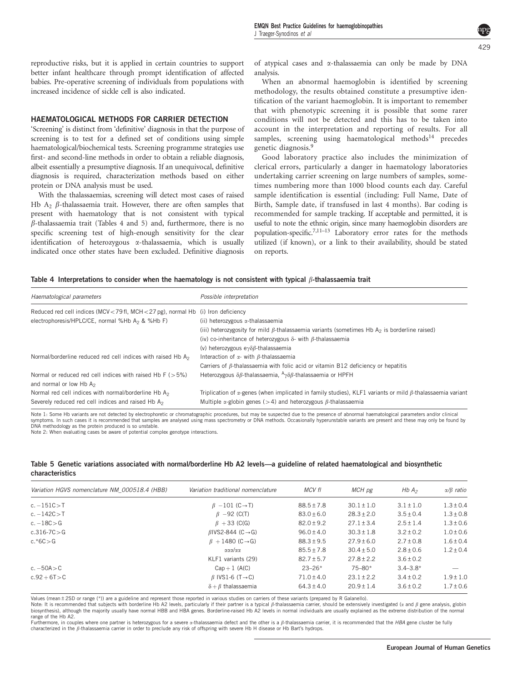<span id="page-3-0"></span>reproductive risks, but it is applied in certain countries to support better infant healthcare through prompt identification of affected babies. Pre-operative screening of individuals from populations with increased incidence of sickle cell is also indicated.

## HAEMATOLOGICAL METHODS FOR CARRIER DETECTION

'Screening' is distinct from 'definitive' diagnosis in that the purpose of screening is to test for a defined set of conditions using simple haematological/biochemical tests. Screening programme strategies use first- and second-line methods in order to obtain a reliable diagnosis, albeit essentially a presumptive diagnosis. If an unequivocal, definitive diagnosis is required, characterization methods based on either protein or DNA analysis must be used.

With the thalassaemias, screening will detect most cases of raised Hb  $A_2$   $\beta$ -thalassaemia trait. However, there are often samples that present with haematology that is not consistent with typical  $\beta$ -thalassaemia trait (Tables 4 and 5) and, furthermore, there is no specific screening test of high-enough sensitivity for the clear identification of heterozygous a-thalassaemia, which is usually indicated once other states have been excluded. Definitive diagnosis

of atypical cases and a-thalassaemia can only be made by DNA analysis.

When an abnormal haemoglobin is identified by screening methodology, the results obtained constitute a presumptive identification of the variant haemoglobin. It is important to remember that with phenotypic screening it is possible that some rarer conditions will not be detected and this has to be taken into account in the interpretation and reporting of results. For all samples, screening using haematological methods<sup>[14](#page-10-0)</sup> precedes genetic diagnosis.[9](#page-10-0)

Good laboratory practice also includes the minimization of clerical errors, particularly a danger in haematology laboratories undertaking carrier screening on large numbers of samples, sometimes numbering more than 1000 blood counts each day. Careful sample identification is essential (including: Full Name, Date of Birth, Sample date, if transfused in last 4 months). Bar coding is recommended for sample tracking. If acceptable and permitted, it is useful to note the ethnic origin, since many haemoglobin disorders are population-specific[.7,11–13](#page-10-0) Laboratory error rates for the methods utilized (if known), or a link to their availability, should be stated on reports.

## Table 4 Interpretations to consider when the haematology is not consistent with typical  $\beta$ -thalassaemia trait

| Haematological parameters                                                                      | Possible interpretation                                                                                                  |
|------------------------------------------------------------------------------------------------|--------------------------------------------------------------------------------------------------------------------------|
| Reduced red cell indices (MCV < 79 fl, MCH < 27 pg), normal Hb (i) Iron deficiency             |                                                                                                                          |
| electrophoresis/HPLC/CE, normal %Hb A <sub>2</sub> & %Hb F)                                    | (ii) heterozygous <i>a</i> -thalassaemia                                                                                 |
|                                                                                                | (iii) heterozygosity for mild $\beta$ -thalassaemia variants (sometimes Hb A <sub>2</sub> is borderline raised)          |
|                                                                                                | (iv) co-inheritance of heterozygous $\delta$ - with $\beta$ -thalassaemia                                                |
|                                                                                                | (v) heterozygous e $\gamma \delta \beta$ -thalassaemia                                                                   |
| Normal/borderline reduced red cell indices with raised Hb A <sub>2</sub>                       | Interaction of $\alpha$ - with $\beta$ -thalassaemia                                                                     |
|                                                                                                | Carriers of $\beta$ -thalassaemia with folic acid or vitamin B12 deficiency or hepatitis                                 |
| Normal or reduced red cell indices with raised Hb $F$ ( $>5\%$ )<br>and normal or low Hb $A_2$ | Heterozygous $\delta\beta$ -thalassaemia, $A_{\gamma\delta\beta}$ -thalassaemia or HPFH                                  |
| Normal red cell indices with normal/borderline Hb A <sub>2</sub>                               | Triplication of $\alpha$ -genes (when implicated in family studies), KLF1 variants or mild $\beta$ -thalassaemia variant |
| Severely reduced red cell indices and raised Hb A <sub>2</sub>                                 | Multiple $\alpha$ -globin genes (>4) and heterozygous $\beta$ -thalassaemia                                              |

Note 1: Some Hb variants are not detected by electrophoretic or chromatographic procedures, but may be suspected due to the presence of abnormal haematological parameters and/or clinical symptoms. In such cases it is recommended that samples are analysed using mass spectrometry or DNA methods. Occasionally hyperunstable variants are present and these may only be found by DNA methodology as the protein produced is so unstable. Note 2: When evaluating cases be aware of potential complex genotype interactions.

## Table 5 Genetic variations associated with normal/borderline Hb A2 levels—a guideline of related haematological and biosynthetic characteristics

| Variation HGVS nomenclature NM 000518.4 (HBB) | Variation traditional nomenclature   | MCV fl         | MCH pg         | HbA <sub>2</sub> | $\alpha/\beta$ ratio |
|-----------------------------------------------|--------------------------------------|----------------|----------------|------------------|----------------------|
| $c. -151C > T$                                | $\beta$ -101 (C $\rightarrow$ T)     | $88.5 \pm 7.8$ | $30.1 \pm 1.0$ | $3.1 \pm 1.0$    | $1.3 \pm 0.4$        |
| $c. -142C > T$                                | $\beta$ -92 (C(T)                    | $83.0 \pm 6.0$ | $28.3 \pm 2.0$ | $3.5 \pm 0.4$    | $1.3 \pm 0.8$        |
| $c. -18C > G$                                 | $\beta$ + 33 (C(G)                   | $82.0 \pm 9.2$ | $27.1 \pm 3.4$ | $2.5 \pm 1.4$    | $1.3 \pm 0.6$        |
| $c.316 - 7C > G$                              | $\beta$ IVS2-844 (C $\rightarrow$ G) | $96.0 \pm 4.0$ | $30.3 \pm 1.8$ | $3.2 \pm 0.2$    | $1.0 \pm 0.6$        |
| $c.*6C > G$                                   | $\beta + 1480$ (C $\rightarrow$ G)   | $88.3 \pm 9.5$ | $27.9 \pm 6.0$ | $2.7 \pm 0.8$    | $1.6 \pm 0.4$        |
|                                               | ααα/αα                               | $85.5 \pm 7.8$ | $30.4 \pm 5.0$ | $2.8 \pm 0.6$    | $1.2 \pm 0.4$        |
|                                               | KLF1 variants (29)                   | $82.7 \pm 5.7$ | $27.8 \pm 2.2$ | $3.6 \pm 0.2$    |                      |
| c. $-50$ A $>$ C                              | $Cap+1$ (A(C)                        | $23 - 26*$     | $75 - 80*$     | $3.4 - 3.8*$     |                      |
| $c.92 + 6T > C$                               | $\beta$ IVS1-6 (T $\rightarrow$ C)   | $71.0 \pm 4.0$ | $23.1 \pm 2.2$ | $3.4 \pm 0.2$    | $1.9 \pm 1.0$        |
|                                               | $\delta + \beta$ thalassaemia        | $64.3 \pm 4.0$ | $20.9 \pm 1.4$ | $3.6 \pm 0.2$    | $1.7 \pm 0.6$        |

Values (mean±2SD or range (\*)) are a guideline and represent those reported in various studies on carriers of these variants (prepared by R Galanello).

Note: It is recommended that subjects with borderline Hb A2 levels, particularly if their partner is a typical  $\beta$ -thalassaemia carrier, should be extensively investigated ( $\alpha$  and  $\beta$  gene analysis, globin biosynthesis), although the majority usually have normal HBB and HBA genes. Borderline-raised Hb A2 levels in normal individuals are usually explained as the extreme distribution of the normal range of the Hb A2.

Furthermore, in couples where one partner is heterozygous for a severe *x*-thalassaemia defect and the other is a *ß*-thalassaemia carrier, it is recommended that the HBA gene cluster be fully characterized in the  $\beta$ -thalassaemia carrier in order to preclude any risk of offspring with severe Hb H disease or Hb Bart's hydrops.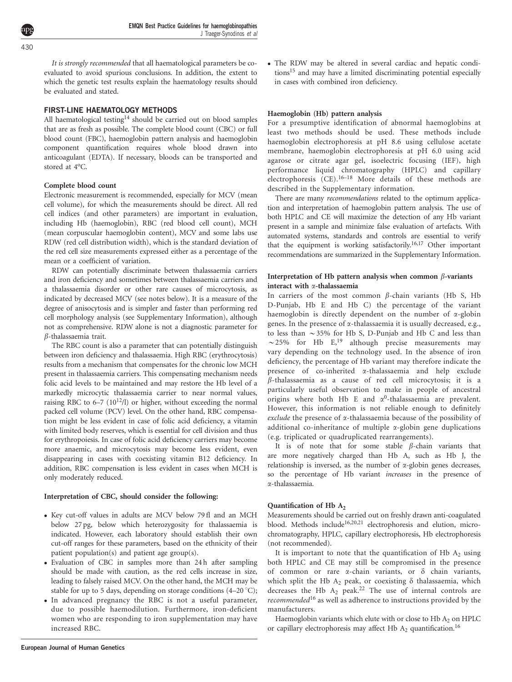It is strongly recommended that all haematological parameters be coevaluated to avoid spurious conclusions. In addition, the extent to which the genetic test results explain the haematology results should be evaluated and stated.

#### FIRST-LINE HAEMATOLOGY METHODS

All haematological testing<sup>14</sup> should be carried out on blood samples that are as fresh as possible. The complete blood count (CBC) or full blood count (FBC), haemoglobin pattern analysis and haemoglobin component quantification requires whole blood drawn into anticoagulant (EDTA). If necessary, bloods can be transported and stored at 4°C.

#### Complete blood count

Electronic measurement is recommended, especially for MCV (mean cell volume), for which the measurements should be direct. All red cell indices (and other parameters) are important in evaluation, including Hb (haemoglobin), RBC (red blood cell count), MCH (mean corpuscular haemoglobin content), MCV and some labs use RDW (red cell distribution width), which is the standard deviation of the red cell size measurements expressed either as a percentage of the mean or a coefficient of variation.

RDW can potentially discriminate between thalassaemia carriers and iron deficiency and sometimes between thalassaemia carriers and a thalassaemia disorder or other rare causes of microcytosis, as indicated by decreased MCV (see notes below). It is a measure of the degree of anisocytosis and is simpler and faster than performing red cell morphology analysis (see Supplementary Information), although not as comprehensive. RDW alone is not a diagnostic parameter for  $\beta$ -thalassaemia trait.

The RBC count is also a parameter that can potentially distinguish between iron deficiency and thalassaemia. High RBC (erythrocytosis) results from a mechanism that compensates for the chronic low MCH present in thalassaemia carriers. This compensating mechanism needs folic acid levels to be maintained and may restore the Hb level of a markedly microcytic thalassaemia carrier to near normal values, raising RBC to 6–7 (10<sup>12</sup>/l) or higher, without exceeding the normal packed cell volume (PCV) level. On the other hand, RBC compensation might be less evident in case of folic acid deficiency, a vitamin with limited body reserves, which is essential for cell division and thus for erythropoiesis. In case of folic acid deficiency carriers may become more anaemic, and microcytosis may become less evident, even disappearing in cases with coexisting vitamin B12 deficiency. In addition, RBC compensation is less evident in cases when MCH is only moderately reduced.

#### Interpretation of CBC, should consider the following:

- Key cut-off values in adults are MCV below 79 fl and an MCH below 27 pg, below which heterozygosity for thalassaemia is indicated. However, each laboratory should establish their own cut-off ranges for these parameters, based on the ethnicity of their patient population(s) and patient age group(s).
- Evaluation of CBC in samples more than 24 h after sampling should be made with caution, as the red cells increase in size, leading to falsely raised MCV. On the other hand, the MCH may be stable for up to 5 days, depending on storage conditions (4–20 $\degree$ C);
- In advanced pregnancy the RBC is not a useful parameter, due to possible haemodilution. Furthermore, iron-deficient women who are responding to iron supplementation may have increased RBC.

- The RDW may be altered in several cardiac and hepatic condition[s15](#page-10-0) and may have a limited discriminating potential especially in cases with combined iron deficiency.

#### Haemoglobin (Hb) pattern analysis

For a presumptive identification of abnormal haemoglobins at least two methods should be used. These methods include haemoglobin electrophoresis at pH 8.6 using cellulose acetate membrane, haemoglobin electrophoresis at pH 6.0 using acid agarose or citrate agar gel, isoelectric focusing (IEF), high performance liquid chromatography (HPLC) and capillary electrophoresis  $(CE)^{16-18}$  More details of these methods are described in the Supplementary information.

There are many *recommendations* related to the optimum application and interpretation of haemoglobin pattern analysis. The use of both HPLC and CE will maximize the detection of any Hb variant present in a sample and minimize false evaluation of artefacts. With automated systems, standards and controls are essential to verify that the equipment is working satisfactorily.[16,17](#page-10-0) Other important recommendations are summarized in the Supplementary Information.

#### Interpretation of Hb pattern analysis when common  $\beta$ -variants interact with a-thalassaemia

In carriers of the most common  $\beta$ -chain variants (Hb S, Hb D-Punjab, Hb E and Hb C) the percentage of the variant haemoglobin is directly dependent on the number of  $\alpha$ -globin genes. In the presence of a-thalassaemia it is usually decreased, e.g., to less than  $\sim$  35% for Hb S, D-Punjab and Hb C and less than  $\sim$  25% for Hb E,<sup>[19](#page-10-0)</sup> although precise measurements may vary depending on the technology used. In the absence of iron deficiency, the percentage of Hb variant may therefore indicate the presence of co-inherited a-thalassaemia and help exclude  $\beta$ -thalassaemia as a cause of red cell microcytosis; it is a particularly useful observation to make in people of ancestral origins where both Hb E and  $\alpha^0$ -thalassaemia are prevalent. However, this information is not reliable enough to definitely exclude the presence of  $\alpha$ -thalassaemia because of the possibility of additional co-inheritance of multiple a-globin gene duplications (e.g. triplicated or quadruplicated rearrangements).

It is of note that for some stable  $\beta$ -chain variants that are more negatively charged than Hb A, such as Hb J, the relationship is inversed, as the number of  $\alpha$ -globin genes decreases, so the percentage of Hb variant increases in the presence of a-thalassaemia.

#### Quantification of Hb A<sub>2</sub>

Measurements should be carried out on freshly drawn anti-coagulated blood. Methods include<sup>[16,20,21](#page-10-0)</sup> electrophoresis and elution, microchromatography, HPLC, capillary electrophoresis, Hb electrophoresis (not recommended).

It is important to note that the quantification of Hb  $A_2$  using both HPLC and CE may still be compromised in the presence of common or rare  $\alpha$ -chain variants, or  $\delta$  chain variants, which split the Hb A<sub>2</sub> peak, or coexisting  $\delta$  thalassaemia, which decreases the Hb  $A_2$  peak.<sup>[22](#page-10-0)</sup> The use of internal controls are recommended<sup>[16](#page-10-0)</sup> as well as adherence to instructions provided by the manufacturers.

Haemoglobin variants which elute with or close to Hb  $A_2$  on HPLC or capillary electrophoresis may affect Hb  $A_2$  quantification.<sup>16</sup>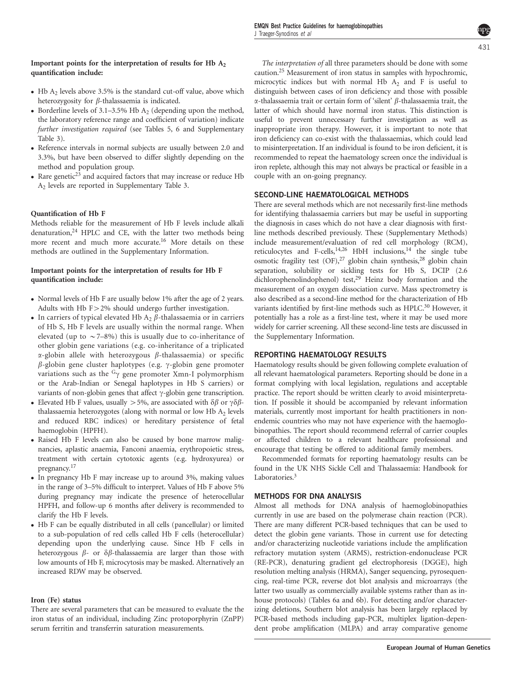## Important points for the interpretation of results for Hb  $A_2$ quantification include:

- Hb  $A_2$  levels above 3.5% is the standard cut-off value, above which heterozygosity for  $\beta$ -thalassaemia is indicated.
- Borderline levels of 3.1–3.5% Hb  $A_2$  (depending upon the method, the laboratory reference range and coefficient of variation) indicate further investigation required (see [Tables 5,](#page-3-0) 6 and Supplementary Table 3).
- Reference intervals in normal subjects are usually between 2.0 and 3.3%, but have been observed to differ slightly depending on the method and population group.
- Rare genetic<sup>[23](#page-11-0)</sup> and acquired factors that may increase or reduce Hb A2 levels are reported in Supplementary Table 3.

## Quantification of Hb F

Methods reliable for the measurement of Hb F levels include alkali denaturation, $24$  HPLC and CE, with the latter two methods being more recent and much more accurate.[16](#page-10-0) More details on these methods are outlined in the Supplementary Information.

## Important points for the interpretation of results for Hb F quantification include:

- Normal levels of Hb F are usually below 1% after the age of 2 years. Adults with Hb  $F > 2\%$  should undergo further investigation.
- In carriers of typical elevated Hb  $A_2$   $\beta$ -thalassaemia or in carriers of Hb S, Hb F levels are usually within the normal range. When elevated (up to  $\sim$  7–8%) this is usually due to co-inheritance of other globin gene variations (e.g. co-inheritance of a triplicated  $\alpha$ -globin allele with heterozygous  $\beta$ -thalassaemia) or specific  $\beta$ -globin gene cluster haplotypes (e.g.  $\gamma$ -globin gene promoter variations such as the  $G_{\gamma}$  gene promoter Xmn-I polymorphism or the Arab-Indian or Senegal haplotypes in Hb S carriers) or variants of non-globin genes that affect  $\gamma$ -globin gene transcription.
- Elevated Hb F values, usually > 5%, are associated with  $\delta\beta$  or  $\gamma\delta\beta$ thalassaemia heterozygotes (along with normal or low Hb  $A_2$  levels and reduced RBC indices) or hereditary persistence of fetal haemoglobin (HPFH).
- Raised Hb F levels can also be caused by bone marrow malignancies, aplastic anaemia, Fanconi anaemia, erythropoietic stress, treatment with certain cytotoxic agents (e.g. hydroxyurea) or pregnancy[.17](#page-10-0)
- In pregnancy Hb F may increase up to around 3%, making values in the range of 3–5% difficult to interpret. Values of Hb F above 5% during pregnancy may indicate the presence of heterocellular HPFH, and follow-up 6 months after delivery is recommended to clarify the Hb F levels.
- Hb F can be equally distributed in all cells (pancellular) or limited to a sub-population of red cells called Hb F cells (heterocellular) depending upon the underlying cause. Since Hb F cells in heterozygous  $\beta$ - or  $\delta\beta$ -thalassaemia are larger than those with low amounts of Hb F, microcytosis may be masked. Alternatively an increased RDW may be observed.

#### Iron (Fe) status

There are several parameters that can be measured to evaluate the the iron status of an individual, including Zinc protoporphyrin (ZnPP) serum ferritin and transferrin saturation measurements.

The interpretation of all three parameters should be done with some caution.[25](#page-11-0) Measurement of iron status in samples with hypochromic, microcytic indices but with normal Hb  $A_2$  and F is useful to distinguish between cases of iron deficiency and those with possible  $\alpha$ -thalassaemia trait or certain form of 'silent'  $\beta$ -thalassaemia trait, the latter of which should have normal iron status. This distinction is useful to prevent unnecessary further investigation as well as inappropriate iron therapy. However, it is important to note that iron deficiency can co-exist with the thalassaemias, which could lead to misinterpretation. If an individual is found to be iron deficient, it is recommended to repeat the haematology screen once the individual is iron replete, although this may not always be practical or feasible in a couple with an on-going pregnancy.

## SECOND-LINE HAEMATOLOGICAL METHODS

There are several methods which are not necessarily first-line methods for identifying thalassaemia carriers but may be useful in supporting the diagnosis in cases which do not have a clear diagnosis with firstline methods described previously. These (Supplementary Methods) include measurement/evaluation of red cell morphology (RCM), reticulocytes and F-cells,<sup>[14,26](#page-10-0)</sup> HbH inclusions,<sup>14</sup> the single tube osmotic fragility test (OF),<sup>27</sup> globin chain synthesis,<sup>28</sup> globin chain separation, solubility or sickling tests for Hb S, DCIP (2.6 dichlorophenolindophenol) test,<sup>29</sup> Heinz body formation and the measurement of an oxygen dissociation curve. Mass spectrometry is also described as a second-line method for the characterization of Hb variants identified by first-line methods such as HPLC.<sup>[30](#page-11-0)</sup> However, it potentially has a role as a first-line test, where it may be used more widely for carrier screening. All these second-line tests are discussed in the Supplementary Information.

## REPORTING HAEMATOLOGY RESULTS

Haematology results should be given following complete evaluation of all relevant haematological parameters. Reporting should be done in a format complying with local legislation, regulations and acceptable practice. The report should be written clearly to avoid misinterpretation. If possible it should be accompanied by relevant information materials, currently most important for health practitioners in nonendemic countries who may not have experience with the haemoglobinopathies. The report should recommend referral of carrier couples or affected children to a relevant healthcare professional and encourage that testing be offered to additional family members.

Recommended formats for reporting haematology results can be found in the UK NHS Sickle Cell and Thalassaemia: Handbook for Laboratories.<sup>3</sup>

## METHODS FOR DNA ANALYSIS

Almost all methods for DNA analysis of haemoglobinopathies currently in use are based on the polymerase chain reaction (PCR). There are many different PCR-based techniques that can be used to detect the globin gene variants. Those in current use for detecting and/or characterizing nucleotide variations include the amplification refractory mutation system (ARMS), restriction-endonuclease PCR (RE-PCR), denaturing gradient gel electrophoresis (DGGE), high resolution melting analysis (HRMA), Sanger sequencing, pyrosequencing, real-time PCR, reverse dot blot analysis and microarrays (the latter two usually as commercially available systems rather than as inhouse protocols) [\(Tables 6a and 6b](#page-6-0)). For detecting and/or characterizing deletions, Southern blot analysis has been largely replaced by PCR-based methods including gap-PCR, multiplex ligation-dependent probe amplification (MLPA) and array comparative genome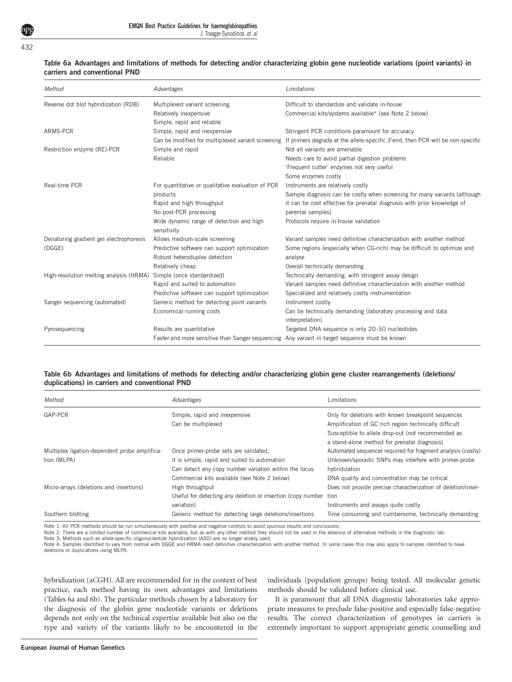EMQN Best Practice Guidelines for haemoglobinopathies J Traeger-Synodinos et al

#### <span id="page-6-0"></span>432

#### Table 6a Advantages and limitations of methods for detecting and/or characterizing globin gene nucleotide variations (point variants) in carriers and conventional PND

| Method                                  | Advantages                                                                                    | Limitations                                                                                                                      |
|-----------------------------------------|-----------------------------------------------------------------------------------------------|----------------------------------------------------------------------------------------------------------------------------------|
| Reverse dot blot hybridization (RDB)    | Multiplexed variant screening                                                                 | Difficult to standardize and validate in-house                                                                                   |
|                                         | Relatively inexpensive                                                                        | Commercial kits/systems available* (see Note 2 below)                                                                            |
|                                         | Simple, rapid and reliable                                                                    |                                                                                                                                  |
| ARMS-PCR                                | Simple, rapid and inexpensive                                                                 | Stringent PCR conditions paramount for accuracy                                                                                  |
|                                         |                                                                                               | Can be modified for multiplexed variant screening If primers degrade at the allele-specific 3'end, then PCR will be non-specific |
| Restriction enzyme (RE)-PCR             | Simple and rapid                                                                              | Not all variants are amenable                                                                                                    |
|                                         | Reliable                                                                                      | Needs care to avoid partial digestion problems                                                                                   |
|                                         |                                                                                               | 'Frequent cutter' enzymes not very useful                                                                                        |
|                                         |                                                                                               | Some enzymes costly                                                                                                              |
| Real-time PCR                           | For quantitative or qualitative evaluation of PCR                                             | Instruments are relatively costly                                                                                                |
|                                         | products                                                                                      | Sample diagnosis can be costly when screening for many variants (although                                                        |
|                                         | Rapid and high throughput                                                                     | it can be cost effective for prenatal diagnosis with prior knowledge of                                                          |
|                                         | No post-PCR processing                                                                        | parental samples)                                                                                                                |
|                                         | Wide dynamic range of detection and high<br>sensitivity                                       | Protocols require in-house validation                                                                                            |
| Denaturing gradient gel electrophoresis | Allows medium-scale screening                                                                 | Variant samples need definitive characterization with another method                                                             |
| (DGGE)                                  | Predictive software can support optimization                                                  | Some regions (especially when CG-rich) may be difficult to optimize and                                                          |
|                                         | Robust heteroduplex detection                                                                 | analyse                                                                                                                          |
|                                         | Relatively cheap                                                                              | Overall technically demanding                                                                                                    |
| High-resolution melting analysis (HRMA) | Simple (once standardized)                                                                    | Technically demanding, with stringent assay design                                                                               |
|                                         | Rapid and suited to automation                                                                | Variant samples need definitive characterization with another method                                                             |
|                                         | Predictive software can support optimization                                                  | Specialized and relatively costly instrumentation                                                                                |
| Sanger sequencing (automated)           | Generic method for detecting point variants                                                   | Instrument costly                                                                                                                |
|                                         | Economical running costs                                                                      | Can be technically demanding (laboratory processing and data                                                                     |
|                                         |                                                                                               | interpretation)                                                                                                                  |
| Pyrosequencing                          | Results are quantitative                                                                      | Targeted DNA sequence is only 20-50 nucleotides                                                                                  |
|                                         | Faster and more sensitive than Sanger sequencing Any variant in target sequence must be known |                                                                                                                                  |

#### Table 6b Advantages and limitations of methods for detecting and/or characterizing globin gene cluster rearrangements (deletions/ duplications) in carriers and conventional PND

| Method                                        | Advantages                                                       | Limitations                                                                                                 |
|-----------------------------------------------|------------------------------------------------------------------|-------------------------------------------------------------------------------------------------------------|
| GAP-PCR                                       | Simple, rapid and inexpensive<br>Can be multiplexed              | Only for deletions with known breakpoint sequences<br>Amplification of GC rich region technically difficult |
|                                               |                                                                  | Susceptible to allele drop-out (not recommended as<br>a stand-alone method for prenatal diagnosis)          |
| Multiplex ligation-dependent probe amplifica- | Once primer-probe sets are validated,                            | Automated sequencer required for fragment analysis (costly)                                                 |
| tion (MLPA)                                   | it is simple, rapid and suited to automation                     | Unknown/sporadic SNPs may interfere with primer-probe                                                       |
|                                               | Can detect any copy number variation within the locus            | hybridization                                                                                               |
|                                               | Commercial kits available (see Note 2 below)                     | DNA quality and concentration may be critical                                                               |
| Micro-arrays (deletions and insertions)       | High throughput                                                  | Does not provide precise characterization of deletion/inser-                                                |
|                                               | Useful for detecting any deletion or insertion (copy number tion |                                                                                                             |
|                                               | variation)                                                       | Instruments and assays quite costly                                                                         |
| Southern blotting                             | Generic method for detecting large deletions/insertions          | Time consuming and cumbersome, technically demanding                                                        |

Note 1: All PCR methods should be run simultaneously with positive and negative controls to avoid spurious results and conclusions.

Note 2: There are a limited number of commercial kits available, but as with any other method they should not be used in the absence of alternative methods in the diagnostic lab.

Note 3: Methods such as allele-specific oligonucleotide hybridization (ASO) are no longer widely used.

Note 4: Samples identified to vary from normal with DGGE and HRMA need definitive characterization with another method. In some cases this may also apply to samples identified to have deletions or duplications using MLPA.

hybridization (aCGH). All are recommended for in the context of best practice, each method having its own advantages and limitations (Tables 6a and 6b). The particular methods chosen by a laboratory for the diagnosis of the globin gene nucleotide variants or deletions depends not only on the technical expertise available but also on the type and variety of the variants likely to be encountered in the

individuals (population groups) being tested. All molecular genetic methods should be validated before clinical use.

It is paramount that all DNA diagnostic laboratories take appropriate measures to preclude false-positive and especially false-negative results. The correct characterization of genotypes in carriers is extremely important to support appropriate genetic counselling and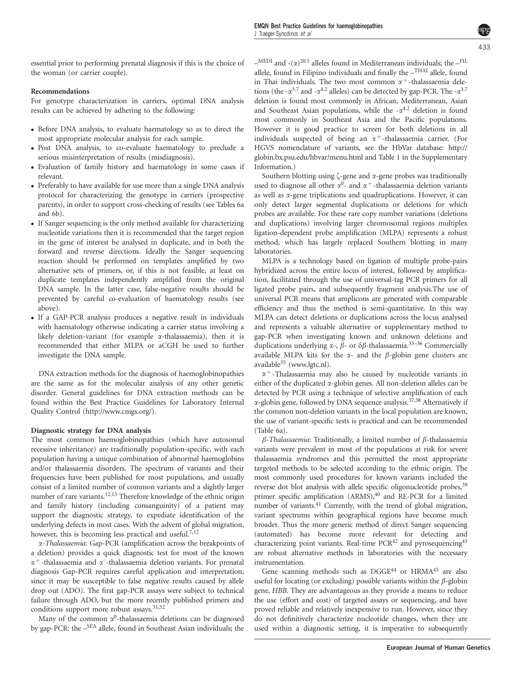essential prior to performing prenatal diagnosis if this is the choice of the woman (or carrier couple).

## Recommendations

For genotype characterization in carriers, optimal DNA analysis results can be achieved by adhering to the following:

- Before DNA analysis, to evaluate haematology so as to direct the most appropriate molecular analysis for each sample.
- Post DNA analysis, to co-evaluate haematology to preclude a serious misinterpretation of results (misdiagnosis).
- Evaluation of family history and haematology in some cases if relevant.
- Preferably to have available for use more than a single DNA analysis protocol for characterizing the genotype in carriers (prospective parents), in order to support cross-checking of results (see [Tables 6a](#page-6-0) [and 6b](#page-6-0)).
- If Sanger sequencing is the only method available for characterizing nucleotide variations then it is recommended that the target region in the gene of interest be analysed in duplicate, and in both the forward and reverse directions. Ideally the Sanger sequencing reaction should be performed on templates amplified by two alternative sets of primers, or, if this is not feasible, at least on duplicate templates independently amplified from the original DNA sample. In the latter case, false-negative results should be prevented by careful co-evaluation of haematology results (see above).
- If a GAP-PCR analysis produces a negative result in individuals with haematology otherwise indicating a carrier status involving a likely deletion-variant (for example  $\alpha$ -thalassaemia), then it is recommended that either MLPA or aCGH be used to further investigate the DNA sample.

DNA extraction methods for the diagnosis of haemoglobinopathies are the same as for the molecular analysis of any other genetic disorder. General guidelines for DNA extraction methods can be found within the Best Practice Guidelines for Laboratory Internal Quality Control (<http://www.cmgs.org/>).

## Diagnostic strategy for DNA analysis

The most common haemoglobinopathies (which have autosomal recessive inheritance) are traditionally population-specific, with each population having a unique combination of abnormal haemoglobins and/or thalassaemia disorders. The spectrum of variants and their frequencies have been published for most populations, and usually consist of a limited number of common variants and a slightly larger number of rare variants.<sup>12,13</sup> Therefore knowledge of the ethnic origin and family history (including consanguinity) of a patient may support the diagnostic strategy, to expediate identification of the underlying defects in most cases. With the advent of global migration, however, this is becoming less practical and useful.<sup>7,12</sup>

a-Thalassaemia: Gap-PCR (amplification across the breakpoints of a deletion) provides a quick diagnostic test for most of the known  $\alpha^+$ -thalassaemia and  $\alpha^{\circ}$ -thalassaemia deletion variants. For prenatal diagnosis Gap-PCR requires careful application and interpretation, since it may be susceptible to false negative results caused by allele drop out (ADO). The first gap-PCR assays were subject to technical failure through ADO, but the more recently published primers and conditions support more robust assays.<sup>[31,32](#page-11-0)</sup>

Many of the common  $\alpha^0$ -thalassaemia deletions can be diagnosed by gap-PCR: the –SEA allele, found in Southeast Asian individuals; the  $-$ MEDI and  $-(\alpha)^{20.5}$  alleles found in Mediterranean individuals; the  $-$ <sup>FIL</sup> allele, found in Filipino individuals and finally the –THAI allele, found in Thai individuals. The two most common  $\alpha^+$ -thalassaemia deletions (the  $-\alpha^{3.7}$  and  $-\alpha^{4.2}$  alleles) can be detected by gap-PCR. The  $-\alpha^{3.7}$ deletion is found most commonly in African, Mediterranean, Asian and Southeast Asian populations, while the  $-\alpha^{4.2}$  deletion is found most commonly in Southeast Asia and the Pacific populations. However it is good practice to screen for both deletions in all individuals suspected of being an  $\alpha^+$ -thalassaemia carrier. (For HGVS nomenclature of variants, see the HbVar database: [http://](http://globin.bx.psu.edu/hbvar/menu.html) [globin.bx.psu.edu/hbvar/menu.html](http://globin.bx.psu.edu/hbvar/menu.html) and [Table 1](#page-1-0) in the Supplementary Information.)

Southern blotting using  $\zeta$ -gene and  $\alpha$ -gene probes was traditionally used to diagnose all other  $\alpha^0$ - and  $\alpha^+$ -thalassaemia deletion variants as well as  $\alpha$ -gene triplications and quadruplications. However, it can only detect larger segmental duplications or deletions for which probes are available. For these rare copy number variations (deletions and duplications) involving larger chromosomal regions multiplex ligation-dependent probe amplification (MLPA) represents a robust method, which has largely replaced Southern blotting in many laboratories.

MLPA is a technology based on ligation of multiple probe-pairs hybridized across the entire locus of interest, followed by amplification, facilitated through the use of universal-tag PCR primers for all ligated probe pairs, and subsequently fragment analysis.The use of universal PCR means that amplicons are generated with comparable efficiency and thus the method is semi-quantitative. In this way MLPA can detect deletions or duplications across the locus analysed and represents a valuable alternative or supplementary method to gap-PCR when investigating known and unknown deletions and duplications underlying  $\alpha$ -,  $\beta$ - or  $\delta\beta$ -thalassaemia.<sup>33–36</sup> Commercially available MLPA kits for the  $\alpha$ - and the  $\beta$ -globin gene clusters are available<sup>35</sup> (<www.lgtc.nl>).

 $\alpha^+$ -Thalassaemia may also be caused by nucleotide variants in either of the duplicated a-globin genes. All non-deletion alleles can be detected by PCR using a technique of selective amplification of each  $\alpha$ -globin gene, followed by DNA sequence analysis.<sup>37,38</sup> Alternatively if the common non-deletion variants in the local population are known, the use of variant-specific tests is practical and can be recommended [\(Table 6a](#page-6-0)).

 $\beta$ -Thalassaemia: Traditionally, a limited number of  $\beta$ -thalassaemia variants were prevalent in most of the populations at risk for severe thalassaemia syndromes and this permitted the most appropriate targeted methods to be selected according to the ethnic origin. The most commonly used procedures for known variants included the reverse dot blot analysis with allele specific oligonucleotide probes,<sup>[39](#page-11-0)</sup> primer specific amplification (ARMS),<sup>[40](#page-11-0)</sup> and RE-PCR for a limited number of variants.<sup>41</sup> Currently, with the trend of global migration, variant spectrums within geographical regions have become much broader. Thus the more generic method of direct Sanger sequencing (automated) has become more relevant for detecting and characterizing point variants. Real-time  $PCR<sup>42</sup>$  and pyrosequencing<sup>[43](#page-11-0)</sup> are robust alternative methods in laboratories with the necessary instrumentation.

Gene scanning methods such as DGGE[44](#page-11-0) or HRM[A45](#page-11-0) are also useful for locating (or excluding) possible variants within the  $\beta$ -globin gene, HBB. They are advantageous as they provide a means to reduce the use (effort and cost) of targeted assays or sequencing, and have proved reliable and relatively inexpensive to run. However, since they do not definitively characterize nucleotide changes, when they are used within a diagnostic setting, it is imperative to subsequently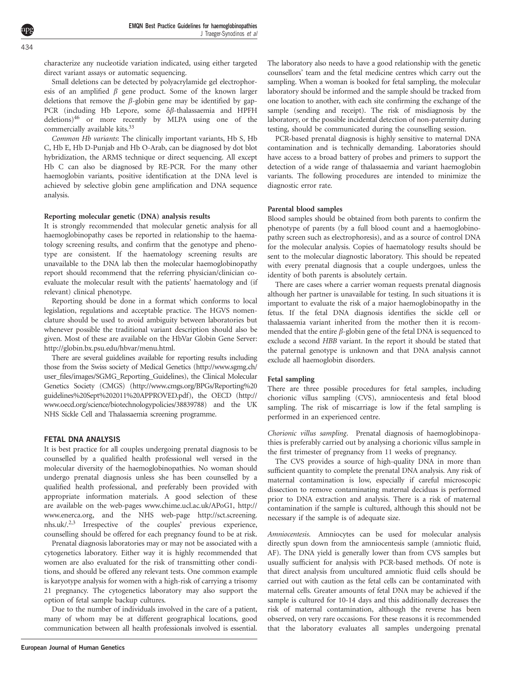434

characterize any nucleotide variation indicated, using either targeted direct variant assays or automatic sequencing.

Small deletions can be detected by polyacrylamide gel electrophoresis of an amplified  $\beta$  gene product. Some of the known larger deletions that remove the  $\beta$ -globin gene may be identified by gap-PCR (including Hb Lepore, some  $\delta\beta$ -thalassaemia and HPFH deletions[\)46](#page-11-0) or more recently by MLPA using one of the commercially available kits.<sup>[33](#page-11-0)</sup>

Common Hb variants: The clinically important variants, Hb S, Hb C, Hb E, Hb D-Punjab and Hb O-Arab, can be diagnosed by dot blot hybridization, the ARMS technique or direct sequencing. All except Hb C can also be diagnosed by RE-PCR. For the many other haemoglobin variants, positive identification at the DNA level is achieved by selective globin gene amplification and DNA sequence analysis.

## Reporting molecular genetic (DNA) analysis results

It is strongly recommended that molecular genetic analysis for all haemoglobinopathy cases be reported in relationship to the haematology screening results, and confirm that the genotype and phenotype are consistent. If the haematology screening results are unavailable to the DNA lab then the molecular haemoglobinopathy report should recommend that the referring physician/clinician coevaluate the molecular result with the patients' haematology and (if relevant) clinical phenotype.

Reporting should be done in a format which conforms to local legislation, regulations and acceptable practice. The HGVS nomenclature should be used to avoid ambiguity between laboratories but whenever possible the traditional variant description should also be given. Most of these are available on the HbVar Globin Gene Server: [http://globin.bx.psu.edu/hbvar/menu.html.](http://globin.bx.psu.edu/hbvar/menu.html)

There are several guidelines available for reporting results including those from the Swiss society of Medical Genetics [\(http://www.sgmg.ch/](http://www.sgmg.ch/user_files/images/SGMG_Reporting_Guidelines) [user\\_files/images/SGMG\\_Reporting\\_Guidelines\)](http://www.sgmg.ch/user_files/images/SGMG_Reporting_Guidelines), the Clinical Molecular Genetics Society (CMGS) [\(http://www.cmgs.org/BPGs/Reporting%20](http://www.cmgs.org/BPGs/Reporting%20guidelines%20Sept%202011%20APPROVED.pdf) [guidelines%20Sept%202011%20APPROVED.pdf](http://www.cmgs.org/BPGs/Reporting%20guidelines%20Sept%202011%20APPROVED.pdf)), the OECD ([http://](http://www.oecd.org/science/biotechnologypolicies/38839788) [www.oecd.org/science/biotechnologypolicies/38839788](http://www.oecd.org/science/biotechnologypolicies/38839788)) and the UK NHS Sickle Cell and Thalassaemia screening programme.

### FETAL DNA ANALYSIS

It is best practice for all couples undergoing prenatal diagnosis to be counselled by a qualified health professional well versed in the molecular diversity of the haemoglobinopathies. No woman should undergo prenatal diagnosis unless she has been counselled by a qualified health professional, and preferably been provided with appropriate information materials. A good selection of these are available on the web-pages<www.chime.ucl.ac.uk/APoG1>, [http://](http://www.enerca.org) [www.enerca.org](http://www.enerca.org), and the NHS web-page [http://sct.screening.](http://sct.screening.nhs.uk/) [nhs.uk/.](http://sct.screening.nhs.uk/)[2,3](#page-10-0) Irrespective of the couples' previous experience, counselling should be offered for each pregnancy found to be at risk.

Prenatal diagnosis laboratories may or may not be associated with a cytogenetics laboratory. Either way it is highly recommended that women are also evaluated for the risk of transmitting other conditions, and should be offered any relevant tests. One common example is karyotype analysis for women with a high-risk of carrying a trisomy 21 pregnancy. The cytogenetics laboratory may also support the option of fetal sample backup cultures.

Due to the number of individuals involved in the care of a patient, many of whom may be at different geographical locations, good communication between all health professionals involved is essential. The laboratory also needs to have a good relationship with the genetic counsellors' team and the fetal medicine centres which carry out the sampling. When a woman is booked for fetal sampling, the molecular laboratory should be informed and the sample should be tracked from one location to another, with each site confirming the exchange of the sample (sending and receipt). The risk of misdiagnosis by the laboratory, or the possible incidental detection of non-paternity during testing, should be communicated during the counselling session.

PCR-based prenatal diagnosis is highly sensitive to maternal DNA contamination and is technically demanding. Laboratories should have access to a broad battery of probes and primers to support the detection of a wide range of thalassaemia and variant haemoglobin variants. The following procedures are intended to minimize the diagnostic error rate.

## Parental blood samples

Blood samples should be obtained from both parents to confirm the phenotype of parents (by a full blood count and a haemoglobinopathy screen such as electrophoresis), and as a source of control DNA for the molecular analysis. Copies of haematology results should be sent to the molecular diagnostic laboratory. This should be repeated with every prenatal diagnosis that a couple undergoes, unless the identity of both parents is absolutely certain.

There are cases where a carrier woman requests prenatal diagnosis although her partner is unavailable for testing. In such situations it is important to evaluate the risk of a major haemoglobinopathy in the fetus. If the fetal DNA diagnosis identifies the sickle cell or thalassaemia variant inherited from the mother then it is recommended that the entire  $\beta$ -globin gene of the fetal DNA is sequenced to exclude a second HBB variant. In the report it should be stated that the paternal genotype is unknown and that DNA analysis cannot exclude all haemoglobin disorders.

#### Fetal sampling

There are three possible procedures for fetal samples, including chorionic villus sampling (CVS), amniocentesis and fetal blood sampling. The risk of miscarriage is low if the fetal sampling is performed in an experienced centre.

Chorionic villus sampling. Prenatal diagnosis of haemoglobinopathies is preferably carried out by analysing a chorionic villus sample in the first trimester of pregnancy from 11 weeks of pregnancy.

The CVS provides a source of high-quality DNA in more than sufficient quantity to complete the prenatal DNA analysis. Any risk of maternal contamination is low, especially if careful microscopic dissection to remove contaminating maternal deciduas is performed prior to DNA extraction and analysis. There is a risk of maternal contamination if the sample is cultured, although this should not be necessary if the sample is of adequate size.

Amniocentesis. Amniocytes can be used for molecular analysis directly spun down from the amniocentesis sample (amniotic fluid, AF). The DNA yield is generally lower than from CVS samples but usually sufficient for analysis with PCR-based methods. Of note is that direct analysis from uncultured amniotic fluid cells should be carried out with caution as the fetal cells can be contaminated with maternal cells. Greater amounts of fetal DNA may be achieved if the sample is cultured for 10-14 days and this additionally decreases the risk of maternal contamination, although the reverse has been observed, on very rare occasions. For these reasons it is recommended that the laboratory evaluates all samples undergoing prenatal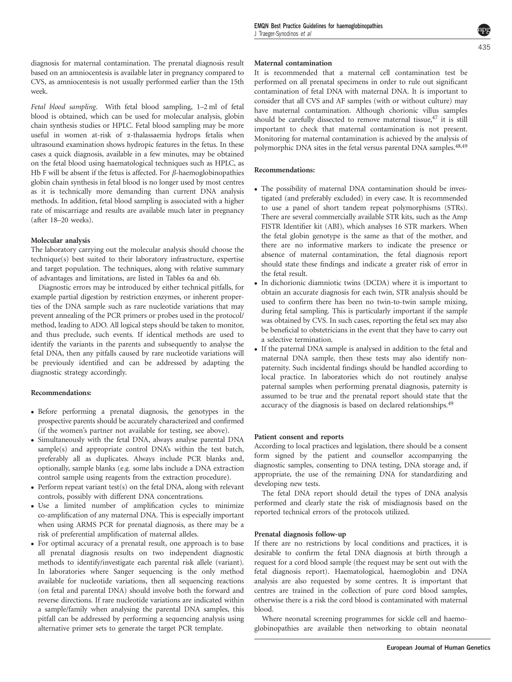diagnosis for maternal contamination. The prenatal diagnosis result based on an amniocentesis is available later in pregnancy compared to CVS, as amniocentesis is not usually performed earlier than the 15th week.

Fetal blood sampling. With fetal blood sampling, 1–2 ml of fetal blood is obtained, which can be used for molecular analysis, globin chain synthesis studies or HPLC. Fetal blood sampling may be more useful in women at-risk of a-thalassaemia hydrops fetalis when ultrasound examination shows hydropic features in the fetus. In these cases a quick diagnosis, available in a few minutes, may be obtained on the fetal blood using haematological techniques such as HPLC, as Hb F will be absent if the fetus is affected. For  $\beta$ -haemoglobinopathies globin chain synthesis in fetal blood is no longer used by most centres as it is technically more demanding than current DNA analysis methods. In addition, fetal blood sampling is associated with a higher rate of miscarriage and results are available much later in pregnancy (after 18–20 weeks).

#### Molecular analysis

The laboratory carrying out the molecular analysis should choose the technique(s) best suited to their laboratory infrastructure, expertise and target population. The techniques, along with relative summary of advantages and limitations, are listed in [Tables 6a and 6b](#page-6-0).

Diagnostic errors may be introduced by either technical pitfalls, for example partial digestion by restriction enzymes, or inherent properties of the DNA sample such as rare nucleotide variations that may prevent annealing of the PCR primers or probes used in the protocol/ method, leading to ADO. All logical steps should be taken to monitor, and thus preclude, such events. If identical methods are used to identify the variants in the parents and subsequently to analyse the fetal DNA, then any pitfalls caused by rare nucleotide variations will be previously identified and can be addressed by adapting the diagnostic strategy accordingly.

#### Recommendations:

- Before performing a prenatal diagnosis, the genotypes in the prospective parents should be accurately characterized and confirmed (if the women's partner not available for testing, see above).
- Simultaneously with the fetal DNA, always analyse parental DNA sample(s) and appropriate control DNA's within the test batch, preferably all as duplicates. Always include PCR blanks and, optionally, sample blanks (e.g. some labs include a DNA extraction control sample using reagents from the extraction procedure).
- Perform repeat variant test(s) on the fetal DNA, along with relevant controls, possibly with different DNA concentrations.
- Use a limited number of amplification cycles to minimize co-amplification of any maternal DNA. This is especially important when using ARMS PCR for prenatal diagnosis, as there may be a risk of preferential amplification of maternal alleles.
- For optimal accuracy of a prenatal result, one approach is to base all prenatal diagnosis results on two independent diagnostic methods to identify/investigate each parental risk allele (variant). In laboratories where Sanger sequencing is the only method available for nucleotide variations, then all sequencing reactions (on fetal and parental DNA) should involve both the forward and reverse directions. If rare nucleotide variations are indicated within a sample/family when analysing the parental DNA samples, this pitfall can be addressed by performing a sequencing analysis using alternative primer sets to generate the target PCR template.

#### Maternal contamination

It is recommended that a maternal cell contamination test be performed on all prenatal specimens in order to rule out significant contamination of fetal DNA with maternal DNA. It is important to consider that all CVS and AF samples (with or without culture) may have maternal contamination. Although chorionic villus samples should be carefully dissected to remove maternal tissue, $47$  it is still important to check that maternal contamination is not present. Monitoring for maternal contamination is achieved by the analysis of polymorphic DNA sites in the fetal versus parental DNA samples.<sup>[48,49](#page-11-0)</sup>

#### Recommendations:

- The possibility of maternal DNA contamination should be investigated (and preferably excluded) in every case. It is recommended to use a panel of short tandem repeat polymorphisms (STRs). There are several commercially available STR kits, such as the Amp FISTR Identifier kit (ABI), which analyses 16 STR markers. When the fetal globin genotype is the same as that of the mother, and there are no informative markers to indicate the presence or absence of maternal contamination, the fetal diagnosis report should state these findings and indicate a greater risk of error in the fetal result.
- In dichorionic diamniotic twins (DCDA) where it is important to obtain an accurate diagnosis for each twin, STR analysis should be used to confirm there has been no twin-to-twin sample mixing, during fetal sampling. This is particularly important if the sample was obtained by CVS. In such cases, reporting the fetal sex may also be beneficial to obstetricians in the event that they have to carry out a selective termination.
- If the paternal DNA sample is analysed in addition to the fetal and maternal DNA sample, then these tests may also identify nonpaternity. Such incidental findings should be handled according to local practice. In laboratories which do not routinely analyse paternal samples when performing prenatal diagnosis, paternity is assumed to be true and the prenatal report should state that the accuracy of the diagnosis is based on declared relationships.<sup>49</sup>

#### Patient consent and reports

According to local practices and legislation, there should be a consent form signed by the patient and counsellor accompanying the diagnostic samples, consenting to DNA testing, DNA storage and, if appropriate, the use of the remaining DNA for standardizing and developing new tests.

The fetal DNA report should detail the types of DNA analysis performed and clearly state the risk of misdiagnosis based on the reported technical errors of the protocols utilized.

#### Prenatal diagnosis follow-up

If there are no restrictions by local conditions and practices, it is desirable to confirm the fetal DNA diagnosis at birth through a request for a cord blood sample (the request may be sent out with the fetal diagnosis report). Haematological, haemoglobin and DNA analysis are also requested by some centres. It is important that centres are trained in the collection of pure cord blood samples, otherwise there is a risk the cord blood is contaminated with maternal blood.

Where neonatal screening programmes for sickle cell and haemoglobinopathies are available then networking to obtain neonatal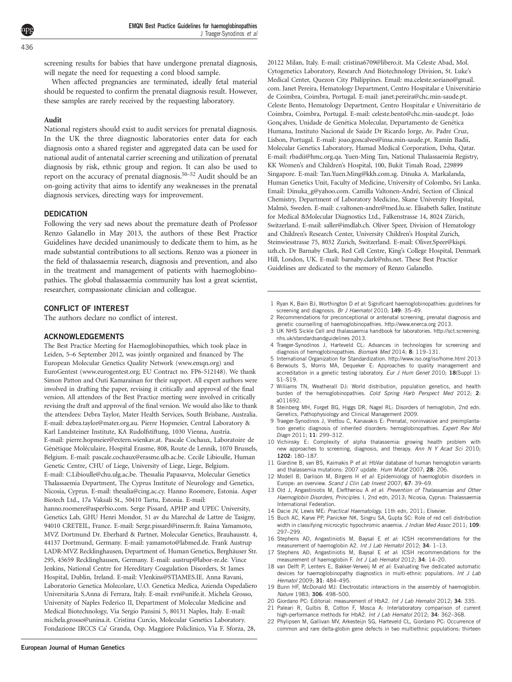<span id="page-10-0"></span>436

screening results for babies that have undergone prenatal diagnosis, will negate the need for requesting a cord blood sample.

When affected pregnancies are terminated, ideally fetal material should be requested to confirm the prenatal diagnosis result. However, these samples are rarely received by the requesting laboratory.

#### Audit

National registers should exist to audit services for prenatal diagnosis. In the UK the three diagnostic laboratories enter data for each diagnosis onto a shared register and aggregated data can be used for national audit of antenatal carrier screening and utilization of prenatal diagnosis by risk, ethnic group and region. It can also be used to report on the accuracy of prenatal diagnosis[.50–52](#page-11-0) Audit should be an on-going activity that aims to identify any weaknesses in the prenatal diagnosis services, directing ways for improvement.

#### DEDICATION

Following the very sad news about the premature death of Professor Renzo Galanello in May 2013, the authors of these Best Practice Guidelines have decided unanimously to dedicate them to him, as he made substantial contributions to all sections. Renzo was a pioneer in the field of thalassaemia research, diagnosis and prevention, and also in the treatment and management of patients with haemoglobinopathies. The global thalassaemia community has lost a great scientist, researcher, compassionate clinician and colleague.

#### CONFLICT OF INTEREST

The authors declare no conflict of interest.

#### ACKNOWLEDGEMENTS

The Best Practice Meeting for Haemoglobinopathies, which took place in Leiden, 5–6 September 2012, was jointly organized and financed by The European Molecular Genetics Quality Network [\(www.emqn.org\)](www.emqn.org) and EuroGentest ([www.eurogentest.org;](www.eurogentest.org) EU Contract no. FP6-512148). We thank Simon Patton and Outi Kamarainan for their support. All expert authors were involved in drafting the paper, revising it critically and approval of the final version. All attendees of the Best Practice meeting were involved in critically revising the draft and approval of the final version. We would also like to thank the attendees: Debra Taylor, Mater Health Services, South Brisbane, Australia. E-mail: debra.taylor@mater.org.au. Pierre Hopmeier, Central Laboratory & Karl Landsteiner Institute, KA Rudolfstiftung, 1030 Vienna, Austria. E-mail: pierre.hopmeier@extern.wienkav.at. Pascale Cochaux, Laboratoire de Génétique Moléculaire, Hospital Erasme, 808, Route de Lennik, 1070 Brussels, Belgium. E-mail: pascale.cochaux@erasme.ulb.ac.be. Cecile Libioulle, Human Genetic Centre, CHU of Liege, University of Liege, Liege, Belgium. E-mail: C.Libioulle@chu.ulg.ac.be. Thessalia Papasavva, Molecular Genetics Thalassaemia Department, The Cyprus Institute of Neurology and Genetics, Nicosia, Cyprus. E-mail: thesalia@cing.ac.cy. Hanno Roomere, Estonia. Asper Biotech Ltd., 17a Vaksali St., 50410 Tartu, Estonia. E-mail: hanno.roomere@asperbio.com. Serge Pissard, APHP and UPEC University, Genetics Lab, GHU Henri Mondor, 51 av du Marechal de Lattre de Tasigny, 94010 CRETEIL, France. E-mail: Serge.pissard@inserm.fr. Raina Yamamoto, MVZ Dortmund Dr. Eberhard & Partner, Molecular Genetics, Brauhausstr. 4, 44137 Dortmund, Germany. E-mail: yamamoto@labmed.de. Frank Austrup LADR-MVZ Recklinghausen, Department of. Human Genetics, Berghäuser Str. 295, 45659 Recklinghausen, Germany. E-mail: austrup@labor-re.de. Vince Jenkins, National Centre for Hereditary Coagulation Disorders, St James Hospital, Dublin, Ireland. E-mail: VJenkins@STJAMES.IE. Anna Ravani, Laboratorio Genetica Molecolare, U.O. Genetica Medica, Azienda Ospedaliero Universitaria S.Anna di Ferrara, Italy. E-mail: rvn@unife.it. Michela Grosso, University of Naples Federico II, Department of Molecular Medicine and Medical Biotechnology, Via Sergio Pansini 5, 80131 Naples, Italy. E-mail: michela.grosso@unina.it. Cristina Curcio, Molecular Genetics Laboratory. Fondazione IRCCS Ca' Granda, Osp. Maggiore Policlinico, Via F. Sforza, 28,

20122 Milan, Italy. E-mail: cristina6709@libero.it. Ma Celeste Abad, Mol. Cytogenetics Laboratory, Research And Biotechnology Division, St. Luke's Medical Center, Quezon City Philippines. Email: ma.celeste.soriano@gmail. com. Janet Pereira, Hematology Department, Centro Hospitalar e Universitário de Coimbra, Coimbra, Portugal. E-mail: janet.pereira@chc.min-saude.pt. Celeste Bento, Hematology Department, Centro Hospitalar e Universitário de Coimbra, Coimbra, Portugal. E-mail: celeste.bento@chc.min-saude.pt. João Gonçalves, Unidade de Genética Molecular, Departamento de Genética Humana, Instituto Nacional de Saúde Dr Ricardo Jorge, Av. Padre Cruz, Lisbon, Portugal. E-mail: joao.goncalves@insa.min-saude.pt. Ramin Badii, Molecular Genetics Laboratory, Hamad Medical Corporation, Doha, Qatar. E-mail: rbadii@hmc.org.qa. Yuen-Ming Tan, National Thalassaemia Registry, KK Women's and Children's Hospital, 100, Bukit Timah Road, 229899 Singapore. E-mail: Tan.Yuen.Ming@kkh.com.sg. Dinuka A. Markalanda, Human Genetics Unit, Faculty of Medicine, University of Colombo, Sri Lanka. Email: Dinuka g@yahoo.com. Camilla Valtonen-André, Section of Clinical Chemistry, Department of Laboratory Medicine, Skane University Hospital, Malmö, Sweden. E-mail: c.valtonen-andre@med.lu.se. Elisabeth Saller, Institute for Medical &Molecular Diagnostics Ltd., Falkenstrasse 14, 8024 Zürich, Switzerland. E-mail: saller@imdlab.ch. Oliver Speer, Division of Hematology and Children's Research Center, University Children's Hospital Zurich, Steinwiesstrasse 75, 8032 Zurich, Switzerland. E-mail: Oliver.Speer@kispi. uzh.ch. Dr Barnaby Clark, Red Cell Centre, King's College Hospital, Denmark Hill, London, UK. E-mail: barnaby.clark@nhs.net. These Best Practice Guidelines are dedicated to the memory of Renzo Galanello.

- 1 Ryan K, Bain BJ, Worthington D et al: Significant haemoglobinopathies: guidelines for screening and diagnosis. Br J Haematol 2010; 149: 35-49.
- 2 Recommendations for preconceptional or antenatal screening, prenatal diagnosis and genetic counselling of haemoglobinopathies.<http://www.enerca.org> 2013.
- 3 UK NHS Sickle Cell and thalassaemia handbook for laboratories. [http://sct.screening.](http://sct.screening.nhs.uk/standardsandguidelines) [nhs.uk/standardsandguidelines](http://sct.screening.nhs.uk/standardsandguidelines) 2013.
- 4 Traeger-Synodinos J, Harteveld CL: Advances in technologies for screening and diagnosis of hemoglobinopathies. Biomark Med 2014; 8: 119-131.
- 5 International Organization for Standardization.<http://www.iso.org/iso/home.html> 2013
- 6 Berwouts S, Morris MA, Dequeker E: Approaches to quality management and accreditation in a genetic testing laboratory. Eur J Hum Genet 2010; 18(Suppl 1): S1–S19.
- 7 Williams TN, Weatherall DJ: World distribution, population genetics, and health burden of the hemoglobinopathies. Cold Spring Harb Perspect Med 2012; 2: a011692.
- 8 Steinberg MH, Forget BG, Higgs DR, Nagel RL: Disorders of hemoglobin, 2nd edn. Genetics, Pathophysiology and Clinical Management 2009.
- 9 Traeger-Synodinos J, Vrettou C, Kanavakis E: Prenatal, noninvasive and preimplantation genetic diagnosis of inherited disorders: hemoglobinopathies. Expert Rev Mol Diagn 2011; 11: 299–312.
- 10 Vichinsky E: Complexity of alpha thalassemia: growing health problem with new approaches to screening, diagnosis, and therapy. Ann N Y Acad Sci 2010; 1202: 180–187.
- 11 Giardine B, van BS, Kaimakis P et al: HbVar database of human hemoglobin variants and thalassemia mutations: 2007 update. Hum Mutat 2007; 28: 206.
- 12 Modell B, Darlison M, Birgens H et al: Epidemiology of haemoglobin disorders in Europe: an overview. Scand J Clin Lab Invest 2007; 67: 39-69.
- 13 Old J, Angastiniotis M, Eleftheriou A et al: Prevention of Thalassamias and Other Haemoglobin Disorders, Principles. I, 2nd edn, 2013; Nicosia, Cyprus: Thalassaemia International Federation.
- 14 Dacie JV, Lewis ME: Practical Haematology, 11th edn, 2011; Elsevier.
- 15 Buch AC, Karve PP, Panicker NK, Singru SA, Gupta SC: Role of red cell distribution width in classifying microcytic hypochromic anaemia. J Indian Med Assoc 2011; 109: 297–299.
- 16 Stephens AD, Angastiniotis M, Baysal E et al: ICSH recommendations for the measurement of haemoglobin A2. Int J Lab Hematol 2012; 34: 1–13.
- Stephens AD, Angastiniotis M, Baysal E et al: ICSH recommendations for the measurement of haemoglobin F. Int J Lab Hematol 2012; 34: 14-20.
- 18 van Delft P, Lenters E, Bakker-Verweij M et al: Evaluating five dedicated automatic devices for haemoglobinopathy diagnostics in multi-ethnic populations. *Int J Lab* Hematol 2009; 31: 484–495.
- 19 Bunn HF, McDonald MJ: Electrostatic interactions in the assembly of haemoglobin. Nature 1983; 306: 498–500.
- 20 Giordano PC: Editorial: measurement of HbA2. Int J Lab Hematol 2012; 34: 335.
- 21 Paleari R, Gulbis B, Cotton F, Mosca A: Interlaboratory comparison of current high-performance methods for HbA2. Int J Lab Hematol 2012; 34: 362-368.
- 22 Phylipsen M, Gallivan MV, Arkesteijn SG, Harteveld CL, Giordano PC: Occurrence of common and rare delta-globin gene defects in two multiethnic populations: thirteen